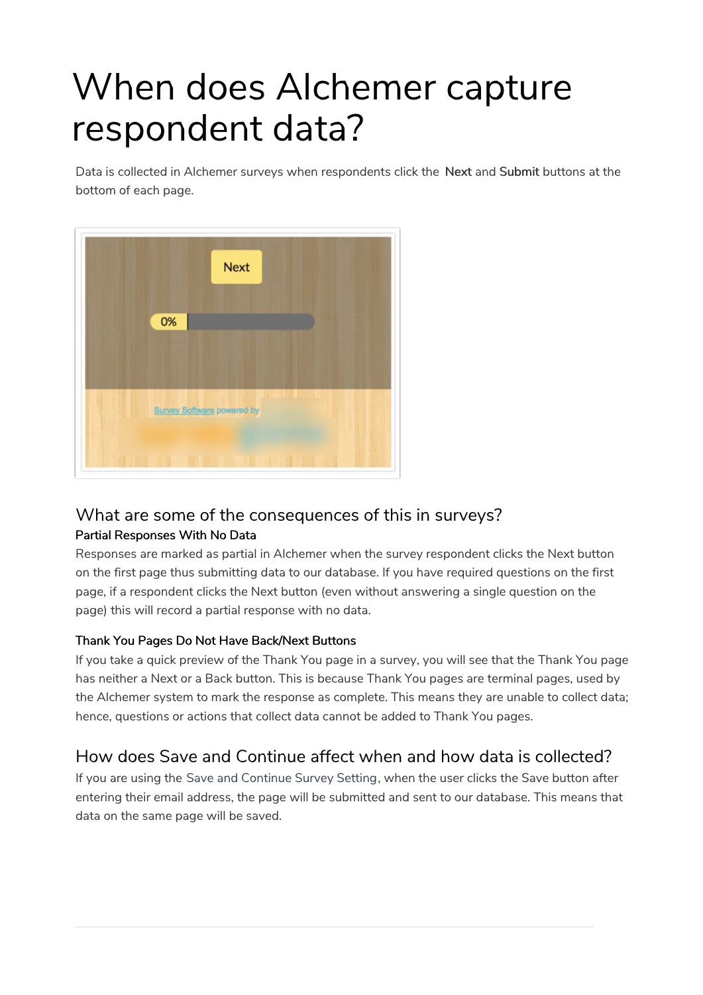# When does Alchemer capture respondent data?

Data is collected in Alchemer surveys when respondents click the Next and Submit buttons at the bottom of each page.



### What are some of the consequences of this in surveys?

#### Partial Responses With No Data

Responses are marked as partial in Alchemer when the survey respondent clicks the Next button on the first page thus submitting data to our database. If you have required questions on the first page, if a respondent clicks the Next button (even without answering a single question on the page) this will record a partial response with no data.

#### Thank You Pages Do Not Have Back/Next Buttons

If you take a quick preview of the Thank You page in a survey, you will see that the Thank You page has neither a Next or a Back button. This is because Thank You pages are terminal pages, used by the Alchemer system to mark the response as complete. This means they are unable to collect data; hence, questions or actions that collect data cannot be added to Thank You pages.

## How does Save and Continue affect when and how data is collected?

If you are using the Save and Continue Survey Setting, when the user clicks the Save button after entering their email address, the page will be submitted and sent to our database. This means that data on the same page will be saved.